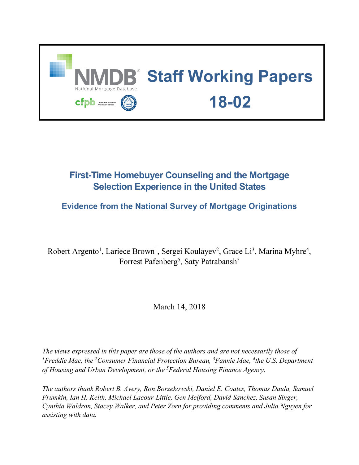

# **First-Time Homebuyer Counseling and the Mortgage Selection Experience in the United States**

## **Evidence from the National Survey of Mortgage Originations**

Robert Argento<sup>1</sup>, Lariece Brown<sup>1</sup>, Sergei Koulayev<sup>2</sup>, Grace Li<sup>3</sup>, Marina Myhre<sup>4</sup>, Forrest Pafenberg<sup>5</sup>, Saty Patrabansh<sup>5</sup>

March 14, 2018

*The views expressed in this paper are those of the authors and are not necessarily those of*  <sup>1</sup> Freddie Mac, the <sup>2</sup> Consumer Financial Protection Bureau, <sup>3</sup> Fannie Mae, <sup>4</sup> the U.S. Department *of Housing and Urban Development, or the 5 Federal Housing Finance Agency.*

*The authors thank Robert B. Avery, Ron Borzekowski, Daniel E. Coates, Thomas Daula, Samuel Frumkin, Ian H. Keith, Michael Lacour-Little, Gen Melford, David Sanchez, Susan Singer, Cynthia Waldron, Stacey Walker, and Peter Zorn for providing comments and Julia Nguyen for assisting with data.*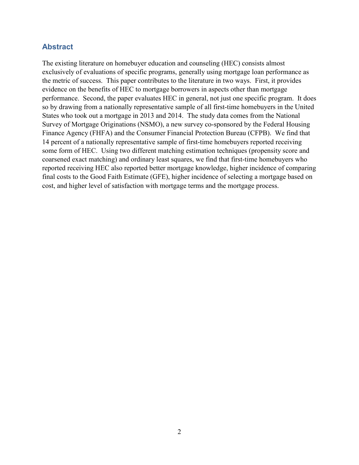### **Abstract**

The existing literature on homebuyer education and counseling (HEC) consists almost exclusively of evaluations of specific programs, generally using mortgage loan performance as the metric of success. This paper contributes to the literature in two ways. First, it provides evidence on the benefits of HEC to mortgage borrowers in aspects other than mortgage performance. Second, the paper evaluates HEC in general, not just one specific program. It does so by drawing from a nationally representative sample of all first-time homebuyers in the United States who took out a mortgage in 2013 and 2014. The study data comes from the National Survey of Mortgage Originations (NSMO), a new survey co-sponsored by the Federal Housing Finance Agency (FHFA) and the Consumer Financial Protection Bureau (CFPB). We find that 14 percent of a nationally representative sample of first-time homebuyers reported receiving some form of HEC. Using two different matching estimation techniques (propensity score and coarsened exact matching) and ordinary least squares, we find that first-time homebuyers who reported receiving HEC also reported better mortgage knowledge, higher incidence of comparing final costs to the Good Faith Estimate (GFE), higher incidence of selecting a mortgage based on cost, and higher level of satisfaction with mortgage terms and the mortgage process.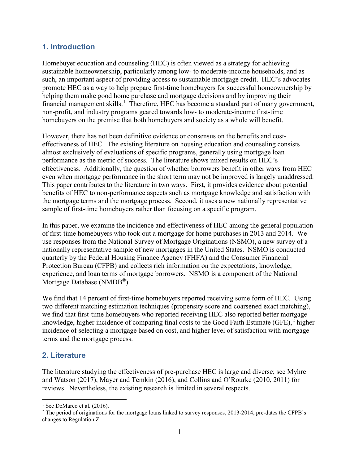### **1. Introduction**

Homebuyer education and counseling (HEC) is often viewed as a strategy for achieving sustainable homeownership, particularly among low- to moderate-income households, and as such, an important aspect of providing access to sustainable mortgage credit. HEC's advocates promote HEC as a way to help prepare first-time homebuyers for successful homeownership by helping them make good home purchase and mortgage decisions and by improving their financial management skills.<sup>[1](#page-2-0)</sup> Therefore, HEC has become a standard part of many government, non-profit, and industry programs geared towards low- to moderate-income first-time homebuyers on the premise that both homebuyers and society as a whole will benefit.

However, there has not been definitive evidence or consensus on the benefits and costeffectiveness of HEC. The existing literature on housing education and counseling consists almost exclusively of evaluations of specific programs, generally using mortgage loan performance as the metric of success. The literature shows mixed results on HEC's effectiveness. Additionally, the question of whether borrowers benefit in other ways from HEC even when mortgage performance in the short term may not be improved is largely unaddressed. This paper contributes to the literature in two ways. First, it provides evidence about potential benefits of HEC to non-performance aspects such as mortgage knowledge and satisfaction with the mortgage terms and the mortgage process. Second, it uses a new nationally representative sample of first-time homebuyers rather than focusing on a specific program.

In this paper, we examine the incidence and effectiveness of HEC among the general population of first-time homebuyers who took out a mortgage for home purchases in 2013 and 2014. We use responses from the National Survey of Mortgage Originations (NSMO), a new survey of a nationally representative sample of new mortgages in the United States. NSMO is conducted quarterly by the Federal Housing Finance Agency (FHFA) and the Consumer Financial Protection Bureau (CFPB) and collects rich information on the expectations, knowledge, experience, and loan terms of mortgage borrowers. NSMO is a component of the National Mortgage Database (NMDB®).

We find that 14 percent of first-time homebuyers reported receiving some form of HEC. Using two different matching estimation techniques (propensity score and coarsened exact matching), we find that first-time homebuyers who reported receiving HEC also reported better mortgage knowledge, higher incidence of comparing final costs to the Good Faith Estimate (GFE),<sup>[2](#page-2-1)</sup> higher incidence of selecting a mortgage based on cost, and higher level of satisfaction with mortgage terms and the mortgage process.

### **2. Literature**

 $\overline{a}$ 

The literature studying the effectiveness of pre-purchase HEC is large and diverse; see Myhre and Watson (2017), Mayer and Temkin (2016), and Collins and O'Rourke (2010, 2011) for reviews. Nevertheless, the existing research is limited in several respects.

<span id="page-2-0"></span><sup>&</sup>lt;sup>1</sup> See DeMarco et al.  $(2016)$ .

<span id="page-2-1"></span><sup>&</sup>lt;sup>2</sup> The period of originations for the mortgage loans linked to survey responses, 2013-2014, pre-dates the CFPB's changes to Regulation Z.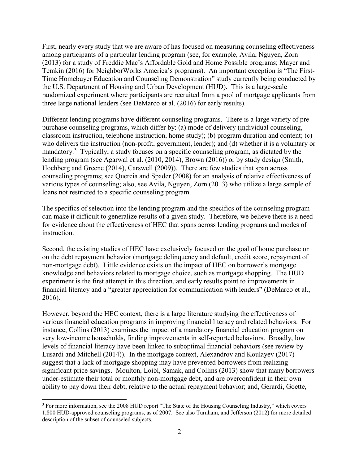First, nearly every study that we are aware of has focused on measuring counseling effectiveness among participants of a particular lending program (see, for example, Avila, Nguyen, Zorn (2013) for a study of Freddie Mac's Affordable Gold and Home Possible programs; Mayer and Temkin (2016) for NeighborWorks America's programs). An important exception is "The First-Time Homebuyer Education and Counseling Demonstration" study currently being conducted by the U.S. Department of Housing and Urban Development (HUD). This is a large-scale randomized experiment where participants are recruited from a pool of mortgage applicants from three large national lenders (see DeMarco et al. (2016) for early results).

Different lending programs have different counseling programs. There is a large variety of prepurchase counseling programs, which differ by: (a) mode of delivery (individual counseling, classroom instruction, telephone instruction, home study); (b) program duration and content; (c) who delivers the instruction (non-profit, government, lender); and (d) whether it is a voluntary or mandatory.<sup>[3](#page-3-0)</sup> Typically, a study focuses on a specific counseling program, as dictated by the lending program (see Agarwal et al. (2010, 2014), Brown (2016)) or by study design (Smith, Hochberg and Greene (2014), Carswell (2009)). There are few studies that span across counseling programs; see Quercia and Spader (2008) for an analysis of relative effectiveness of various types of counseling; also, see Avila, Nguyen, Zorn (2013) who utilize a large sample of loans not restricted to a specific counseling program.

The specifics of selection into the lending program and the specifics of the counseling program can make it difficult to generalize results of a given study. Therefore, we believe there is a need for evidence about the effectiveness of HEC that spans across lending programs and modes of instruction.

Second, the existing studies of HEC have exclusively focused on the goal of home purchase or on the debt repayment behavior (mortgage delinquency and default, credit score, repayment of non-mortgage debt). Little evidence exists on the impact of HEC on borrower's mortgage knowledge and behaviors related to mortgage choice, such as mortgage shopping. The HUD experiment is the first attempt in this direction, and early results point to improvements in financial literacy and a "greater appreciation for communication with lenders" (DeMarco et al., 2016).

However, beyond the HEC context, there is a large literature studying the effectiveness of various financial education programs in improving financial literacy and related behaviors. For instance, Collins (2013) examines the impact of a mandatory financial education program on very low-income households, finding improvements in self-reported behaviors. Broadly, low levels of financial literacy have been linked to suboptimal financial behaviors (see review by Lusardi and Mitchell (2014)). In the mortgage context, Alexandrov and Koulayev (2017) suggest that a lack of mortgage shopping may have prevented borrowers from realizing significant price savings. Moulton, Loibl, Samak, and Collins (2013) show that many borrowers under-estimate their total or monthly non-mortgage debt, and are overconfident in their own ability to pay down their debt, relative to the actual repayment behavior; and, Gerardi, Goette,

<span id="page-3-0"></span> $\overline{a}$ <sup>3</sup> For more information, see the 2008 HUD report "The State of the Housing Counseling Industry," which covers 1,800 HUD-approved counseling programs, as of 2007. See also Turnham, and Jefferson (2012) for more detailed description of the subset of counseled subjects.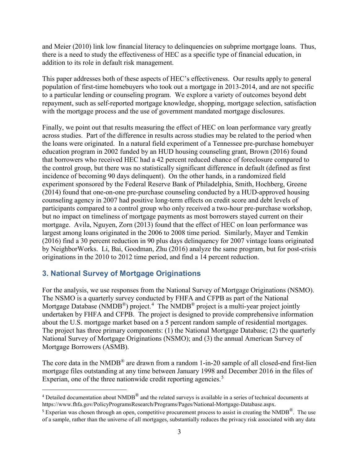and Meier (2010) link low financial literacy to delinquencies on subprime mortgage loans. Thus, there is a need to study the effectiveness of HEC as a specific type of financial education, in addition to its role in default risk management.

This paper addresses both of these aspects of HEC's effectiveness. Our results apply to general population of first-time homebuyers who took out a mortgage in 2013-2014, and are not specific to a particular lending or counseling program. We explore a variety of outcomes beyond debt repayment, such as self-reported mortgage knowledge, shopping, mortgage selection, satisfaction with the mortgage process and the use of government mandated mortgage disclosures.

Finally, we point out that results measuring the effect of HEC on loan performance vary greatly across studies. Part of the difference in results across studies may be related to the period when the loans were originated. In a natural field experiment of a Tennessee pre-purchase homebuyer education program in 2002 funded by an HUD housing counseling grant, Brown (2016) found that borrowers who received HEC had a 42 percent reduced chance of foreclosure compared to the control group, but there was no statistically significant difference in default (defined as first incidence of becoming 90 days delinquent). On the other hands, in a randomized field experiment sponsored by the Federal Reserve Bank of Philadelphia, Smith, Hochberg, Greene (2014) found that one-on-one pre-purchase counseling conducted by a HUD-approved housing counseling agency in 2007 had positive long-term effects on credit score and debt levels of participants compared to a control group who only received a two-hour pre-purchase workshop, but no impact on timeliness of mortgage payments as most borrowers stayed current on their mortgage. Avila, Nguyen, Zorn (2013) found that the effect of HEC on loan performance was largest among loans originated in the 2006 to 2008 time period. Similarly, Mayer and Temkin (2016) find a 30 percent reduction in 90 plus days delinquency for 2007 vintage loans originated by NeighborWorks. Li, Bai, Goodman, Zhu (2016) analyze the same program, but for post-crisis originations in the 2010 to 2012 time period, and find a 14 percent reduction.

## **3. National Survey of Mortgage Originations**

 $\overline{a}$ 

For the analysis, we use responses from the National Survey of Mortgage Originations (NSMO). The NSMO is a quarterly survey conducted by FHFA and CFPB as part of the National Mortgage Database (NMDB<sup>®</sup>) project.<sup>[4](#page-4-0)</sup> The NMDB<sup>®</sup> project is a multi-year project jointly undertaken by FHFA and CFPB. The project is designed to provide comprehensive information about the U.S. mortgage market based on a 5 percent random sample of residential mortgages. The project has three primary components: (1) the National Mortgage Database; (2) the quarterly National Survey of Mortgage Originations (NSMO); and (3) the annual American Survey of Mortgage Borrowers (ASMB).

The core data in the NMDB<sup>®</sup> are drawn from a random 1-in-20 sample of all closed-end first-lien mortgage files outstanding at any time between January 1998 and December 2016 in the files of Experian, one of the three nationwide credit reporting agencies.<sup>[5](#page-4-1)</sup>

<span id="page-4-0"></span> $4$  Detailed documentation about NMDB $^{\circledR}$  and the related surveys is available in a series of technical documents at [https://www.fhfa.gov/PolicyProgramsResearch/Programs/Pages/National-Mortgage-Database.aspx.](https://www.fhfa.gov/PolicyProgramsResearch/Programs/Pages/National-Mortgage-Database.aspx) 

<span id="page-4-1"></span><sup>&</sup>lt;sup>5</sup> Experian was chosen through an open, competitive procurement process to assist in creating the NMDB<sup>®</sup>. The use of a sample, rather than the universe of all mortgages, substantially reduces the privacy risk associated with any data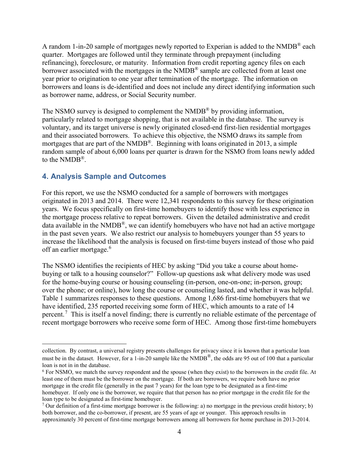A random 1-in-20 sample of mortgages newly reported to Experian is added to the NMDB® each quarter. Mortgages are followed until they terminate through prepayment (including refinancing), foreclosure, or maturity. Information from credit reporting agency files on each borrower associated with the mortgages in the  $NMDB<sup>®</sup>$  sample are collected from at least one year prior to origination to one year after termination of the mortgage. The information on borrowers and loans is de-identified and does not include any direct identifying information such as borrower name, address, or Social Security number.

The NSMO survey is designed to complement the NMDB<sup>®</sup> by providing information, particularly related to mortgage shopping, that is not available in the database. The survey is voluntary, and its target universe is newly originated closed-end first-lien residential mortgages and their associated borrowers. To achieve this objective, the NSMO draws its sample from mortgages that are part of the NMDB<sup>®</sup>. Beginning with loans originated in 2013, a simple random sample of about 6,000 loans per quarter is drawn for the NSMO from loans newly added to the NMDB®.

#### **4. Analysis Sample and Outcomes**

l

For this report, we use the NSMO conducted for a sample of borrowers with mortgages originated in 2013 and 2014. There were 12,341 respondents to this survey for these origination years. We focus specifically on first-time homebuyers to identify those with less experience in the mortgage process relative to repeat borrowers. Given the detailed administrative and credit data available in the NMDB<sup>®</sup>, we can identify homebuyers who have not had an active mortgage in the past seven years. We also restrict our analysis to homebuyers younger than 55 years to increase the likelihood that the analysis is focused on first-time buyers instead of those who paid off an earlier mortgage.<sup>[6](#page-5-0)</sup>

The NSMO identifies the recipients of HEC by asking "Did you take a course about homebuying or talk to a housing counselor?" Follow-up questions ask what delivery mode was used for the home-buying course or housing counseling (in-person, one-on-one; in-person, group; over the phone; or online), how long the course or counseling lasted, and whether it was helpful. Table 1 summarizes responses to these questions. Among 1,686 first-time homebuyers that we have identified, 235 reported receiving some form of HEC, which amounts to a rate of 14 percent.<sup>[7](#page-5-1)</sup> This is itself a novel finding; there is currently no reliable estimate of the percentage of recent mortgage borrowers who receive some form of HEC. Among those first-time homebuyers

collection. By contrast, a universal registry presents challenges for privacy since it is known that a particular loan must be in the dataset. However, for a 1-in-20 sample like the NMDB<sup>®</sup>, the odds are 95 out of 100 that a particular loan is not in in the database.

<span id="page-5-0"></span> $6$  For NSMO, we match the survey respondent and the spouse (when they exist) to the borrowers in the credit file. At least one of them must be the borrower on the mortgage. If both are borrowers, we require both have no prior mortgage in the credit file (generally in the past 7 years) for the loan type to be designated as a first-time homebuyer. If only one is the borrower, we require that that person has no prior mortgage in the credit file for the loan type to be designated as first-time homebuyer.

<span id="page-5-1"></span><sup>&</sup>lt;sup>7</sup> Our definition of a first-time mortgage borrower is the following: a) no mortgage in the previous credit history; b) both borrower, and the co-borrower, if present, are 55 years of age or younger. This approach results in approximately 30 percent of first-time mortgage borrowers among all borrowers for home purchase in 2013-2014.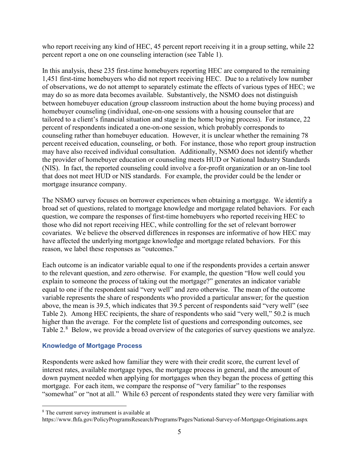who report receiving any kind of HEC, 45 percent report receiving it in a group setting, while 22 percent report a one on one counseling interaction (see Table 1).

In this analysis, these 235 first-time homebuyers reporting HEC are compared to the remaining 1,451 first-time homebuyers who did not report receiving HEC. Due to a relatively low number of observations, we do not attempt to separately estimate the effects of various types of HEC; we may do so as more data becomes available. Substantively, the NSMO does not distinguish between homebuyer education (group classroom instruction about the home buying process) and homebuyer counseling (individual, one-on-one sessions with a housing counselor that are tailored to a client's financial situation and stage in the home buying process). For instance, 22 percent of respondents indicated a one-on-one session, which probably corresponds to counseling rather than homebuyer education. However, it is unclear whether the remaining 78 percent received education, counseling, or both. For instance, those who report group instruction may have also received individual consultation. Additionally, NSMO does not identify whether the provider of homebuyer education or counseling meets HUD or National Industry Standards (NIS). In fact, the reported counseling could involve a for-profit organization or an on-line tool that does not meet HUD or NIS standards. For example, the provider could be the lender or mortgage insurance company.

The NSMO survey focuses on borrower experiences when obtaining a mortgage. We identify a broad set of questions, related to mortgage knowledge and mortgage related behaviors. For each question, we compare the responses of first-time homebuyers who reported receiving HEC to those who did not report receiving HEC, while controlling for the set of relevant borrower covariates. We believe the observed differences in responses are informative of how HEC may have affected the underlying mortgage knowledge and mortgage related behaviors. For this reason, we label these responses as "outcomes."

Each outcome is an indicator variable equal to one if the respondents provides a certain answer to the relevant question, and zero otherwise. For example, the question "How well could you explain to someone the process of taking out the mortgage?" generates an indicator variable equal to one if the respondent said "very well" and zero otherwise. The mean of the outcome variable represents the share of respondents who provided a particular answer; for the question above, the mean is 39.5, which indicates that 39.5 percent of respondents said "very well" (see Table 2). Among HEC recipients, the share of respondents who said "very well," 50.2 is much higher than the average. For the complete list of questions and corresponding outcomes, see Table 2.<sup>[8](#page-6-0)</sup> Below, we provide a broad overview of the categories of survey questions we analyze.

#### **Knowledge of Mortgage Process**

Respondents were asked how familiar they were with their credit score, the current level of interest rates, available mortgage types, the mortgage process in general, and the amount of down payment needed when applying for mortgages when they began the process of getting this mortgage. For each item, we compare the response of "very familiar" to the responses "somewhat" or "not at all." While 63 percent of respondents stated they were very familiar with

l

<span id="page-6-0"></span><sup>8</sup> The current survey instrument is available at

<https://www.fhfa.gov/PolicyProgramsResearch/Programs/Pages/National-Survey-of-Mortgage-Originations.aspx>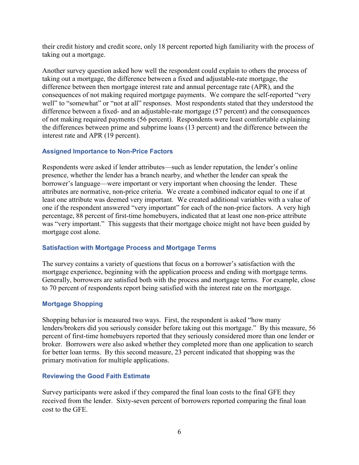their credit history and credit score, only 18 percent reported high familiarity with the process of taking out a mortgage.

Another survey question asked how well the respondent could explain to others the process of taking out a mortgage, the difference between a fixed and adjustable-rate mortgage, the difference between then mortgage interest rate and annual percentage rate (APR), and the consequences of not making required mortgage payments. We compare the self-reported "very well" to "somewhat" or "not at all" responses. Most respondents stated that they understood the difference between a fixed- and an adjustable-rate mortgage (57 percent) and the consequences of not making required payments (56 percent). Respondents were least comfortable explaining the differences between prime and subprime loans (13 percent) and the difference between the interest rate and APR (19 percent).

#### **Assigned Importance to Non-Price Factors**

Respondents were asked if lender attributes—such as lender reputation, the lender's online presence, whether the lender has a branch nearby, and whether the lender can speak the borrower's language—were important or very important when choosing the lender. These attributes are normative, non-price criteria. We create a combined indicator equal to one if at least one attribute was deemed very important. We created additional variables with a value of one if the respondent answered "very important" for each of the non-price factors. A very high percentage, 88 percent of first-time homebuyers, indicated that at least one non-price attribute was "very important." This suggests that their mortgage choice might not have been guided by mortgage cost alone.

#### **Satisfaction with Mortgage Process and Mortgage Terms**

The survey contains a variety of questions that focus on a borrower's satisfaction with the mortgage experience, beginning with the application process and ending with mortgage terms. Generally, borrowers are satisfied both with the process and mortgage terms. For example, close to 70 percent of respondents report being satisfied with the interest rate on the mortgage.

#### **Mortgage Shopping**

Shopping behavior is measured two ways. First, the respondent is asked "how many lenders/brokers did you seriously consider before taking out this mortgage." By this measure, 56 percent of first-time homebuyers reported that they seriously considered more than one lender or broker. Borrowers were also asked whether they completed more than one application to search for better loan terms. By this second measure, 23 percent indicated that shopping was the primary motivation for multiple applications.

#### **Reviewing the Good Faith Estimate**

Survey participants were asked if they compared the final loan costs to the final GFE they received from the lender. Sixty-seven percent of borrowers reported comparing the final loan cost to the GFE.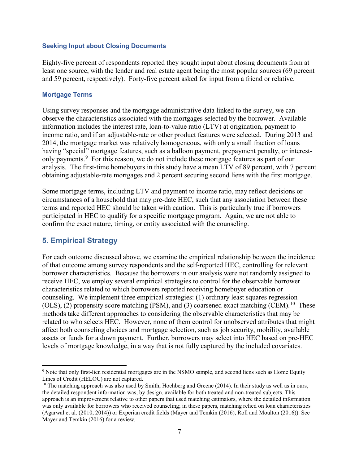#### **Seeking Input about Closing Documents**

Eighty-five percent of respondents reported they sought input about closing documents from at least one source, with the lender and real estate agent being the most popular sources (69 percent and 59 percent, respectively). Forty-five percent asked for input from a friend or relative.

#### **Mortgage Terms**

Using survey responses and the mortgage administrative data linked to the survey, we can observe the characteristics associated with the mortgages selected by the borrower. Available information includes the interest rate, loan-to-value ratio (LTV) at origination, payment to income ratio, and if an adjustable-rate or other product features were selected. During 2013 and 2014, the mortgage market was relatively homogeneous, with only a small fraction of loans having "special" mortgage features, such as a balloon payment, prepayment penalty, or interest-only payments.<sup>[9](#page-8-0)</sup> For this reason, we do not include these mortgage features as part of our analysis. The first-time homebuyers in this study have a mean LTV of 89 percent, with 7 percent obtaining adjustable-rate mortgages and 2 percent securing second liens with the first mortgage.

Some mortgage terms, including LTV and payment to income ratio, may reflect decisions or circumstances of a household that may pre-date HEC, such that any association between these terms and reported HEC should be taken with caution. This is particularly true if borrowers participated in HEC to qualify for a specific mortgage program. Again, we are not able to confirm the exact nature, timing, or entity associated with the counseling.

#### **5. Empirical Strategy**

l

For each outcome discussed above, we examine the empirical relationship between the incidence of that outcome among survey respondents and the self-reported HEC, controlling for relevant borrower characteristics. Because the borrowers in our analysis were not randomly assigned to receive HEC, we employ several empirical strategies to control for the observable borrower characteristics related to which borrowers reported receiving homebuyer education or counseling. We implement three empirical strategies: (1) ordinary least squares regression (OLS), (2) propensity score matching (PSM), and (3) coarsened exact matching (CEM).<sup>[10](#page-8-1)</sup> These methods take different approaches to considering the observable characteristics that may be related to who selects HEC. However, none of them control for unobserved attributes that might affect both counseling choices and mortgage selection, such as job security, mobility, available assets or funds for a down payment. Further, borrowers may select into HEC based on pre-HEC levels of mortgage knowledge, in a way that is not fully captured by the included covariates.

<span id="page-8-0"></span><sup>9</sup> Note that only first-lien residential mortgages are in the NSMO sample, and second liens such as Home Equity Lines of Credit (HELOC) are not captured.

<span id="page-8-1"></span><sup>&</sup>lt;sup>10</sup> The matching approach was also used by Smith, Hochberg and Greene  $(2014)$ . In their study as well as in ours, the detailed respondent information was, by design, available for both treated and non-treated subjects. This approach is an improvement relative to other papers that used matching estimators, where the detailed information was only available for borrowers who received counseling; in these papers, matching relied on loan characteristics (Agarwal et al. (2010, 2014)) or Experian credit fields (Mayer and Temkin (2016), Roll and Moulton (2016)). See Mayer and Temkin (2016) for a review.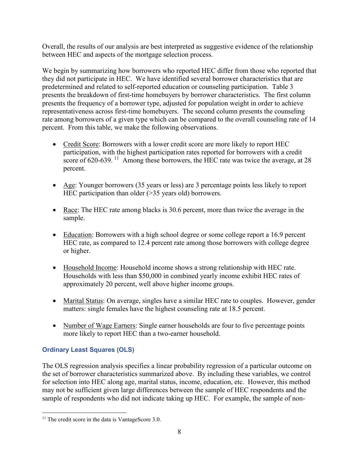Overall, the results of our analysis are best interpreted as suggestive evidence of the relationship between HEC and aspects of the mortgage selection process.

We begin by summarizing how borrowers who reported HEC differ from those who reported that they did not participate in HEC. We have identified several borrower characteristics that are predetermined and related to self-reported education or counseling participation. Table 3 presents the breakdown of first-time homebuyers by borrower characteristics. The first column presents the frequency of a borrower type, adjusted for population weight in order to achieve representativeness across first-time homebuyers. The second column presents the counseling rate among borrowers of a given type which can be compared to the overall counseling rate of 14 percent. From this table, we make the following observations.

- Credit Score: Borrowers with a lower credit score are more likely to report HEC participation, with the highest participation rates reported for borrowers with a credit score of 620-639.<sup>[11](#page-9-0)</sup> Among these borrowers, the HEC rate was twice the average, at 28 percent.
- Age: Younger borrowers (35 years or less) are 3 percentage points less likely to report HEC participation than older (>35 years old) borrowers.
- Race: The HEC rate among blacks is 30.6 percent, more than twice the average in the sample.
- Education: Borrowers with a high school degree or some college report a 16.9 percent HEC rate, as compared to 12.4 percent rate among those borrowers with college degree or higher.
- Household Income: Household income shows a strong relationship with HEC rate. Households with less than \$50,000 in combined yearly income exhibit HEC rates of approximately 20 percent, well above higher income groups.
- Marital Status: On average, singles have a similar HEC rate to couples. However, gender matters: single females have the highest counseling rate at 18.5 percent.
- Number of Wage Earners: Single earner households are four to five percentage points more likely to report HEC than a two-earner household.

### **Ordinary Least Squares (OLS)**

The OLS regression analysis specifies a linear probability regression of a particular outcome on the set of borrower characteristics summarized above. By including these variables, we control for selection into HEC along age, marital status, income, education, etc. However, this method may not be sufficient given large differences between the sample of HEC respondents and the sample of respondents who did not indicate taking up HEC. For example, the sample of non-

<span id="page-9-0"></span>l  $11$  The credit score in the data is VantageScore 3.0.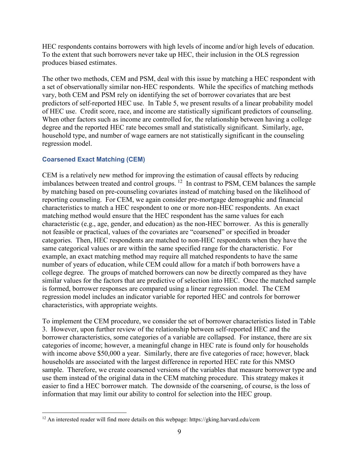HEC respondents contains borrowers with high levels of income and/or high levels of education. To the extent that such borrowers never take up HEC, their inclusion in the OLS regression produces biased estimates.

The other two methods, CEM and PSM, deal with this issue by matching a HEC respondent with a set of observationally similar non-HEC respondents. While the specifics of matching methods vary, both CEM and PSM rely on identifying the set of borrower covariates that are best predictors of self-reported HEC use. In Table 5, we present results of a linear probability model of HEC use. Credit score, race, and income are statistically significant predictors of counseling. When other factors such as income are controlled for, the relationship between having a college degree and the reported HEC rate becomes small and statistically significant. Similarly, age, household type, and number of wage earners are not statistically significant in the counseling regression model.

#### **Coarsened Exact Matching (CEM)**

l

CEM is a relatively new method for improving the estimation of causal effects by reducing imbalances between treated and control groups. [12](#page-10-0) In contrast to PSM, CEM balances the sample by matching based on pre-counseling covariates instead of matching based on the likelihood of reporting counseling. For CEM, we again consider pre-mortgage demographic and financial characteristics to match a HEC respondent to one or more non-HEC respondents. An exact matching method would ensure that the HEC respondent has the same values for each characteristic (e.g., age, gender, and education) as the non-HEC borrower. As this is generally not feasible or practical, values of the covariates are "coarsened" or specified in broader categories. Then, HEC respondents are matched to non-HEC respondents when they have the same categorical values or are within the same specified range for the characteristic. For example, an exact matching method may require all matched respondents to have the same number of years of education, while CEM could allow for a match if both borrowers have a college degree. The groups of matched borrowers can now be directly compared as they have similar values for the factors that are predictive of selection into HEC. Once the matched sample is formed, borrower responses are compared using a linear regression model. The CEM regression model includes an indicator variable for reported HEC and controls for borrower characteristics, with appropriate weights.

To implement the CEM procedure, we consider the set of borrower characteristics listed in Table 3. However, upon further review of the relationship between self-reported HEC and the borrower characteristics, some categories of a variable are collapsed. For instance, there are six categories of income; however, a meaningful change in HEC rate is found only for households with income above \$50,000 a year. Similarly, there are five categories of race; however, black households are associated with the largest difference in reported HEC rate for this NMSO sample. Therefore, we create coarsened versions of the variables that measure borrower type and use them instead of the original data in the CEM matching procedure. This strategy makes it easier to find a HEC borrower match. The downside of the coarsening, of course, is the loss of information that may limit our ability to control for selection into the HEC group.

<span id="page-10-0"></span> $12$  An interested reader will find more details on this webpage: https://gking.harvard.edu/cem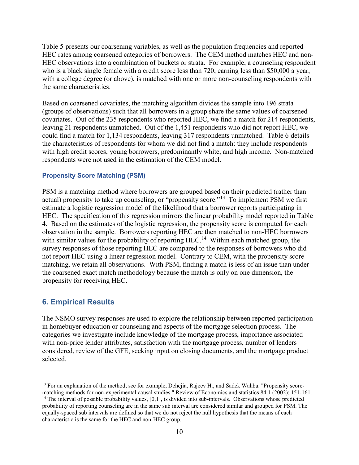Table 5 presents our coarsening variables, as well as the population frequencies and reported HEC rates among coarsened categories of borrowers. The CEM method matches HEC and non-HEC observations into a combination of buckets or strata. For example, a counseling respondent who is a black single female with a credit score less than 720, earning less than \$50,000 a year, with a college degree (or above), is matched with one or more non-counseling respondents with the same characteristics.

Based on coarsened covariates, the matching algorithm divides the sample into 196 strata (groups of observations) such that all borrowers in a group share the same values of coarsened covariates. Out of the 235 respondents who reported HEC, we find a match for 214 respondents, leaving 21 respondents unmatched. Out of the 1,451 respondents who did not report HEC, we could find a match for 1,134 respondents, leaving 317 respondents unmatched. Table 6 details the characteristics of respondents for whom we did not find a match: they include respondents with high credit scores, young borrowers, predominantly white, and high income. Non-matched respondents were not used in the estimation of the CEM model.

#### **Propensity Score Matching (PSM)**

PSM is a matching method where borrowers are grouped based on their predicted (rather than actual) propensity to take up counseling, or "propensity score."<sup>[13](#page-11-0)</sup> To implement PSM we first estimate a logistic regression model of the likelihood that a borrower reports participating in HEC. The specification of this regression mirrors the linear probability model reported in Table 4. Based on the estimates of the logistic regression, the propensity score is computed for each observation in the sample. Borrowers reporting HEC are then matched to non-HEC borrowers with similar values for the probability of reporting HEC.<sup>[14](#page-11-1)</sup> Within each matched group, the survey responses of those reporting HEC are compared to the responses of borrowers who did not report HEC using a linear regression model. Contrary to CEM, with the propensity score matching, we retain all observations. With PSM, finding a match is less of an issue than under the coarsened exact match methodology because the match is only on one dimension, the propensity for receiving HEC.

#### **6. Empirical Results**

 $\overline{a}$ 

The NSMO survey responses are used to explore the relationship between reported participation in homebuyer education or counseling and aspects of the mortgage selection process. The categories we investigate include knowledge of the mortgage process, importance associated with non-price lender attributes, satisfaction with the mortgage process, number of lenders considered, review of the GFE, seeking input on closing documents, and the mortgage product selected.

<span id="page-11-0"></span><sup>&</sup>lt;sup>13</sup> For an explanation of the method, see for example, Dehejia, Rajeev H., and Sadek Wahba. "Propensity scorematching methods for non-experimental causal studies." Review of Economics and statistics 84.1 (2002): 151-161.

<span id="page-11-1"></span> $14$  The interval of possible probability values,  $[0,1]$ , is divided into sub-intervals. Observations whose predicted probability of reporting counseling are in the same sub interval are considered similar and grouped for PSM. The equally-spaced sub intervals are defined so that we do not reject the null hypothesis that the means of each characteristic is the same for the HEC and non-HEC group.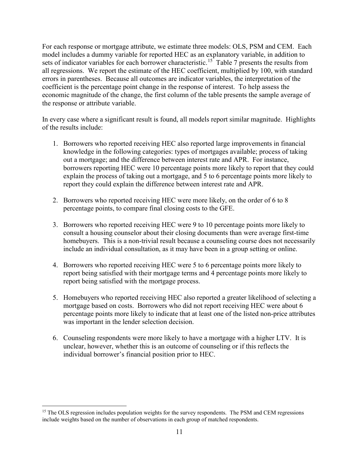For each response or mortgage attribute, we estimate three models: OLS, PSM and CEM. Each model includes a dummy variable for reported HEC as an explanatory variable, in addition to sets of indicator variables for each borrower characteristic.<sup>[15](#page-12-0)</sup> Table 7 presents the results from all regressions. We report the estimate of the HEC coefficient, multiplied by 100, with standard errors in parentheses. Because all outcomes are indicator variables, the interpretation of the coefficient is the percentage point change in the response of interest. To help assess the economic magnitude of the change, the first column of the table presents the sample average of the response or attribute variable.

In every case where a significant result is found, all models report similar magnitude. Highlights of the results include:

- 1. Borrowers who reported receiving HEC also reported large improvements in financial knowledge in the following categories: types of mortgages available; process of taking out a mortgage; and the difference between interest rate and APR. For instance, borrowers reporting HEC were 10 percentage points more likely to report that they could explain the process of taking out a mortgage, and 5 to 6 percentage points more likely to report they could explain the difference between interest rate and APR.
- 2. Borrowers who reported receiving HEC were more likely, on the order of 6 to 8 percentage points, to compare final closing costs to the GFE.
- 3. Borrowers who reported receiving HEC were 9 to 10 percentage points more likely to consult a housing counselor about their closing documents than were average first-time homebuyers. This is a non-trivial result because a counseling course does not necessarily include an individual consultation, as it may have been in a group setting or online.
- 4. Borrowers who reported receiving HEC were 5 to 6 percentage points more likely to report being satisfied with their mortgage terms and 4 percentage points more likely to report being satisfied with the mortgage process.
- 5. Homebuyers who reported receiving HEC also reported a greater likelihood of selecting a mortgage based on costs. Borrowers who did not report receiving HEC were about 6 percentage points more likely to indicate that at least one of the listed non-price attributes was important in the lender selection decision.
- 6. Counseling respondents were more likely to have a mortgage with a higher LTV. It is unclear, however, whether this is an outcome of counseling or if this reflects the individual borrower's financial position prior to HEC.

l

<span id="page-12-0"></span><sup>&</sup>lt;sup>15</sup> The OLS regression includes population weights for the survey respondents. The PSM and CEM regressions include weights based on the number of observations in each group of matched respondents.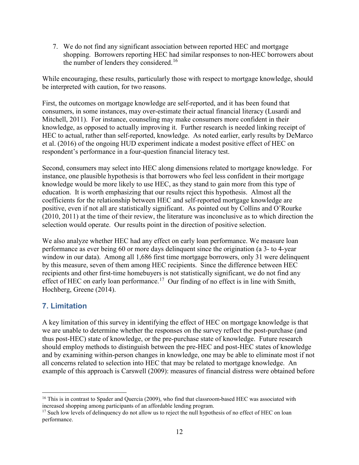7. We do not find any significant association between reported HEC and mortgage shopping. Borrowers reporting HEC had similar responses to non-HEC borrowers about the number of lenders they considered.<sup>[16](#page-13-0)</sup>

While encouraging, these results, particularly those with respect to mortgage knowledge, should be interpreted with caution, for two reasons.

First, the outcomes on mortgage knowledge are self-reported, and it has been found that consumers, in some instances, may over-estimate their actual financial literacy (Lusardi and Mitchell, 2011). For instance, counseling may make consumers more confident in their knowledge, as opposed to actually improving it. Further research is needed linking receipt of HEC to actual, rather than self-reported, knowledge. As noted earlier, early results by DeMarco et al. (2016) of the ongoing HUD experiment indicate a modest positive effect of HEC on respondent's performance in a four-question financial literacy test.

Second, consumers may select into HEC along dimensions related to mortgage knowledge. For instance, one plausible hypothesis is that borrowers who feel less confident in their mortgage knowledge would be more likely to use HEC, as they stand to gain more from this type of education. It is worth emphasizing that our results reject this hypothesis. Almost all the coefficients for the relationship between HEC and self-reported mortgage knowledge are positive, even if not all are statistically significant. As pointed out by Collins and O'Rourke (2010, 2011) at the time of their review, the literature was inconclusive as to which direction the selection would operate. Our results point in the direction of positive selection.

We also analyze whether HEC had any effect on early loan performance. We measure loan performance as ever being 60 or more days delinquent since the origination (a 3- to 4-year window in our data). Among all 1,686 first time mortgage borrowers, only 31 were delinquent by this measure, seven of them among HEC recipients. Since the difference between HEC recipients and other first-time homebuyers is not statistically significant, we do not find any effect of HEC on early loan performance.<sup>[17](#page-13-1)</sup> Our finding of no effect is in line with Smith, Hochberg, Greene (2014).

## **7. Limitation**

l

A key limitation of this survey in identifying the effect of HEC on mortgage knowledge is that we are unable to determine whether the responses on the survey reflect the post-purchase (and thus post-HEC) state of knowledge, or the pre-purchase state of knowledge. Future research should employ methods to distinguish between the pre-HEC and post-HEC states of knowledge and by examining within-person changes in knowledge, one may be able to eliminate most if not all concerns related to selection into HEC that may be related to mortgage knowledge. An example of this approach is Carswell (2009): measures of financial distress were obtained before

<span id="page-13-0"></span><sup>&</sup>lt;sup>16</sup> This is in contrast to Spader and Quercia (2009), who find that classroom-based HEC was associated with increased shopping among participants of an affordable lending program.

<span id="page-13-1"></span><sup>&</sup>lt;sup>17</sup> Such low levels of delinquency do not allow us to reject the null hypothesis of no effect of HEC on loan performance.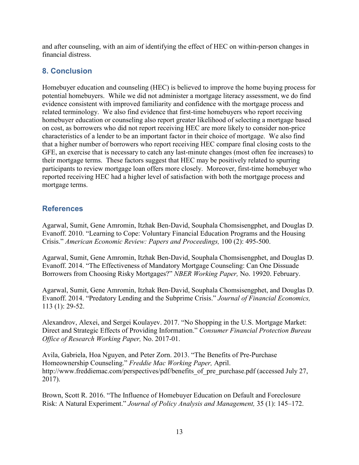and after counseling, with an aim of identifying the effect of HEC on within-person changes in financial distress.

## **8. Conclusion**

Homebuyer education and counseling (HEC) is believed to improve the home buying process for potential homebuyers. While we did not administer a mortgage literacy assessment, we do find evidence consistent with improved familiarity and confidence with the mortgage process and related terminology. We also find evidence that first-time homebuyers who report receiving homebuyer education or counseling also report greater likelihood of selecting a mortgage based on cost, as borrowers who did not report receiving HEC are more likely to consider non-price characteristics of a lender to be an important factor in their choice of mortgage. We also find that a higher number of borrowers who report receiving HEC compare final closing costs to the GFE, an exercise that is necessary to catch any last-minute changes (most often fee increases) to their mortgage terms. These factors suggest that HEC may be positively related to spurring participants to review mortgage loan offers more closely. Moreover, first-time homebuyer who reported receiving HEC had a higher level of satisfaction with both the mortgage process and mortgage terms.

### **References**

Agarwal, Sumit, Gene Amromin, Itzhak Ben-David, Souphala Chomsisengphet, and Douglas D. Evanoff. 2010. "Learning to Cope: Voluntary Financial Education Programs and the Housing Crisis." *American Economic Review: Papers and Proceedings,* 100 (2): 495-500.

Agarwal, Sumit, Gene Amromin, Itzhak Ben-David, Souphala Chomsisengphet, and Douglas D. Evanoff. 2014. "The Effectiveness of Mandatory Mortgage Counseling: Can One Dissuade Borrowers from Choosing Risky Mortgages?" *NBER Working Paper,* No. 19920. February.

Agarwal, Sumit, Gene Amromin, Itzhak Ben-David, Souphala Chomsisengphet, and Douglas D. Evanoff. 2014. "Predatory Lending and the Subprime Crisis." *Journal of Financial Economics,* 113 (1): 29-52.

Alexandrov, Alexei, and Sergei Koulayev. 2017. "No Shopping in the U.S. Mortgage Market: Direct and Strategic Effects of Providing Information." *Consumer Financial Protection Bureau Office of Research Working Paper,* No. 2017-01.

Avila, Gabriela, Hoa Nguyen, and Peter Zorn. 2013. "The Benefits of Pre-Purchase Homeownership Counseling." *Freddie Mac Working Paper,* April. http://www.freddiemac.com/perspectives/pdf/benefits of pre\_purchase.pdf (accessed July 27, 2017).

Brown, Scott R. 2016. "The Influence of Homebuyer Education on Default and Foreclosure Risk: A Natural Experiment." *Journal of Policy Analysis and Management,* 35 (1): 145–172.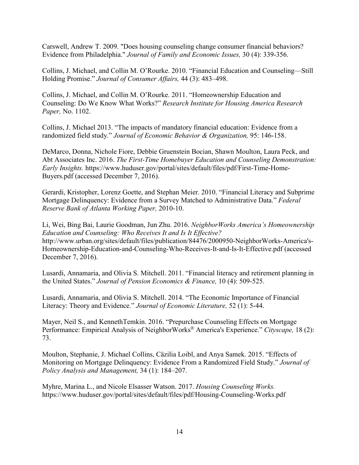Carswell, Andrew T. 2009. "Does housing counseling change consumer financial behaviors? Evidence from Philadelphia." *Journal of Family and Economic Issues,* 30 (4): 339-356.

Collins, J. Michael, and Collin M. O'Rourke. 2010. "Financial Education and Counseling—Still Holding Promise." *Journal of Consumer Affairs,* 44 (3): 483–498.

Collins, J. Michael, and Collin M. O'Rourke. 2011. "Homeownership Education and Counseling: Do We Know What Works?" *Research Institute for Housing America Research Paper,* No. 1102.

Collins, J. Michael 2013. "The impacts of mandatory financial education: Evidence from a randomized field study." *Journal of Economic Behavior & Organization,* 95: 146-158.

DeMarco, Donna, Nichole Fiore, Debbie Gruenstein Bocian, Shawn Moulton, Laura Peck, and Abt Associates Inc. 2016. *The First-Time Homebuyer Education and Counseling Demonstration: Early Insights.* [https://www.huduser.gov/portal/sites/default/files/pdf/First-Time-Home-](https://www.huduser.gov/portal/sites/default/files/pdf/First-Time-Home-Buyers.pdf)[Buyers.pdf](https://www.huduser.gov/portal/sites/default/files/pdf/First-Time-Home-Buyers.pdf) (accessed December 7, 2016).

Gerardi, Kristopher, Lorenz Goette, and Stephan Meier. 2010. "Financial Literacy and Subprime Mortgage Delinquency: Evidence from a Survey Matched to Administrative Data." *Federal Reserve Bank of Atlanta Working Paper,* 2010-10.

Li, Wei, Bing Bai, Laurie Goodman, Jun Zhu. 2016. *NeighborWorks America's Homeownership Education and Counseling: Who Receives It and Is It Effective?* http://www.urban.org/sites/default/files/publication/84476/2000950-NeighborWorks-America's-Homeownership-Education-and-Counseling-Who-Receives-It-and-Is-It-Effective.pdf (accessed December 7, 2016).

Lusardi, Annamaria, and Olivia S. Mitchell. 2011. "Financial literacy and retirement planning in the United States." *Journal of Pension Economics & Finance,* 10 (4): 509-525.

Lusardi, Annamaria, and Olivia S. Mitchell. 2014. "The Economic Importance of Financial Literacy: Theory and Evidence." *Journal of Economic Literature,* 52 (1): 5-44.

Mayer, Neil S., and KennethTemkin. 2016. "Prepurchase Counseling Effects on Mortgage Performance: Empirical Analysis of NeighborWorks® America's Experience." *Cityscape,* 18 (2): 73.

Moulton, Stephanie, J. Michael Collins, Cäzilia Loibl, and Anya Samek. 2015. "Effects of Monitoring on Mortgage Delinquency: Evidence From a Randomized Field Study." *Journal of Policy Analysis and Management,* 34 (1): 184–207.

Myhre, Marina L., and Nicole Elsasser Watson. 2017. *Housing Counseling Works.* https://www.huduser.gov/portal/sites/default/files/pdf/Housing-Counseling-Works.pdf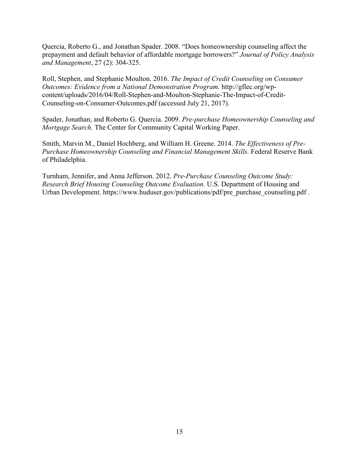Quercia, Roberto G., and Jonathan Spader. 2008. "Does homeownership counseling affect the prepayment and default behavior of affordable mortgage borrowers?" *Journal of Policy Analysis and Management*, 27 (2): 304-325.

Roll, Stephen, and Stephanie Moulton. 2016. *The Impact of Credit Counseling on Consumer Outcomes: Evidence from a National Demonstration Program.* [http://gflec.org/wp](http://gflec.org/wp-content/uploads/2016/04/Roll-Stephen-and-Moulton-Stephanie-The-Impact-of-Credit-Counseling-on-Consumer-Outcomes.pdf)[content/uploads/2016/04/Roll-Stephen-and-Moulton-Stephanie-The-Impact-of-Credit-](http://gflec.org/wp-content/uploads/2016/04/Roll-Stephen-and-Moulton-Stephanie-The-Impact-of-Credit-Counseling-on-Consumer-Outcomes.pdf)[Counseling-on-Consumer-Outcomes.pdf](http://gflec.org/wp-content/uploads/2016/04/Roll-Stephen-and-Moulton-Stephanie-The-Impact-of-Credit-Counseling-on-Consumer-Outcomes.pdf) (accessed July 21, 2017).

Spader, Jonathan, and Roberto G. Quercia. 2009. *Pre-purchase Homeownership Counseling and Mortgage Search.* The Center for Community Capital Working Paper.

Smith, Marvin M., Daniel Hochberg, and William H. Greene. 2014. *The Effectiveness of Pre-Purchase Homeownership Counseling and Financial Management Skills.* Federal Reserve Bank of Philadelphia.

Turnham, Jennifer, and Anna Jefferson. 2012. *Pre-Purchase Counseling Outcome Study: Research Brief Housing Counseling Outcome Evaluation.* U.S. Department of Housing and Urban Development. https://www.huduser.gov/publications/pdf/pre\_purchase[\\_counseling.](https://www.huduser.gov/publications/pdf/pre_purchase_counseling.pdf)pdf .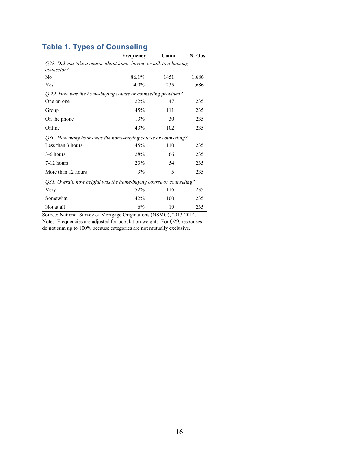# **Table 1. Types of Counseling**

|                                                                                 | Frequency | Count | N. Obs |
|---------------------------------------------------------------------------------|-----------|-------|--------|
| Q28. Did you take a course about home-buying or talk to a housing<br>counselor? |           |       |        |
| N <sub>0</sub>                                                                  | 86.1%     | 1451  | 1,686  |
| Yes                                                                             | 14.0%     | 235   | 1,686  |
| Q 29. How was the home-buying course or counseling provided?                    |           |       |        |
| One on one                                                                      | 22%       | 47    | 235    |
| Group                                                                           | 45%       | 111   | 235    |
| On the phone                                                                    | 13%       | 30    | 235    |
| Online                                                                          | 43%       | 102   | 235    |
| Q30. How many hours was the home-buying course or counseling?                   |           |       |        |
| Less than 3 hours                                                               | 45%       | 110   | 235    |
| 3-6 hours                                                                       | 28%       | 66    | 235    |
| $7-12$ hours                                                                    | 23%       | 54    | 235    |
| More than 12 hours                                                              | 3%        | 5     | 235    |
| Q31. Overall, how helpful was the home-buying course or counseling?             |           |       |        |
| Very                                                                            | 52%       | 116   | 235    |
| Somewhat                                                                        | 42%       | 100   | 235    |
| Not at all                                                                      | 6%        | 19    | 235    |

Source: National Survey of Mortgage Originations (NSMO), 2013-2014. Notes: Frequencies are adjusted for population weights. For Q29, responses do not sum up to 100% because categories are not mutually exclusive.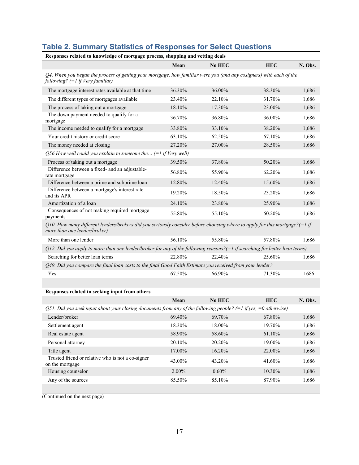# **Table 2. Summary Statistics of Responses for Select Questions**

|                                                                                                                                                                        |        | Responses related to knowledge of mortgage process, shopping and vetting deals |            |         |  |  |
|------------------------------------------------------------------------------------------------------------------------------------------------------------------------|--------|--------------------------------------------------------------------------------|------------|---------|--|--|
|                                                                                                                                                                        | Mean   | No HEC                                                                         | <b>HEC</b> | N. Obs. |  |  |
| Q4. When you began the process of getting your mortgage, how familiar were you (and any cosigners) with each of the<br>following? $(=1$ if Very familiar)              |        |                                                                                |            |         |  |  |
| The mortgage interest rates available at that time                                                                                                                     | 36.30% | 36.00%                                                                         | 38.30%     | 1,686   |  |  |
| The different types of mortgages available                                                                                                                             | 23.40% | 22.10%                                                                         | 31.70%     | 1,686   |  |  |
| The process of taking out a mortgage                                                                                                                                   | 18.10% | 17.30%                                                                         | 23.00%     | 1,686   |  |  |
| The down payment needed to qualify for a<br>mortgage                                                                                                                   | 36.70% | 36.80%                                                                         | 36.00%     | 1,686   |  |  |
| The income needed to qualify for a mortgage                                                                                                                            | 33.80% | 33.10%                                                                         | 38.20%     | 1,686   |  |  |
| Your credit history or credit score                                                                                                                                    | 63.10% | 62.50%                                                                         | 67.10%     | 1,686   |  |  |
| The money needed at closing                                                                                                                                            | 27.20% | 27.00%                                                                         | 28.50%     | 1,686   |  |  |
| Q56.How well could you explain to someone the $(=1$ if Very well)                                                                                                      |        |                                                                                |            |         |  |  |
| Process of taking out a mortgage                                                                                                                                       | 39.50% | 37.80%                                                                         | 50.20%     | 1,686   |  |  |
| Difference between a fixed- and an adjustable-<br>rate mortgage                                                                                                        | 56.80% | 55.90%                                                                         | 62.20%     | 1,686   |  |  |
| Difference between a prime and subprime loan                                                                                                                           | 12.80% | 12.40%                                                                         | 15.60%     | 1,686   |  |  |
| Difference between a mortgage's interest rate<br>and its APR                                                                                                           | 19.20% | 18.50%                                                                         | 23.20%     | 1,686   |  |  |
| Amortization of a loan                                                                                                                                                 | 24.10% | 23.80%                                                                         | 25.90%     | 1,686   |  |  |
| Consequences of not making required mortgage<br>payments                                                                                                               | 55.80% | 55.10%                                                                         | 60.20%     | 1,686   |  |  |
| Q10. How many different lenders/brokers did you seriously consider before choosing where to apply for this mortgage? $(=1 \text{ if }$<br>more than one lender/broker) |        |                                                                                |            |         |  |  |
| More than one lender                                                                                                                                                   | 56.10% | 55.80%                                                                         | 57.80%     | 1,686   |  |  |
| Q12. Did you apply to more than one lender/broker for any of the following reasons? $(=1$ if searching for better loan terms)                                          |        |                                                                                |            |         |  |  |
| Searching for better loan terms                                                                                                                                        | 22.80% | 22.40%                                                                         | 25.60%     | 1,686   |  |  |
| Q49. Did you compare the final loan costs to the final Good Faith Estimate you received from your lender?                                                              |        |                                                                                |            |         |  |  |
| Yes                                                                                                                                                                    | 67.50% | 66.90%                                                                         | 71.30%     | 1686    |  |  |
|                                                                                                                                                                        |        |                                                                                |            |         |  |  |
| Responses related to seeking input from others                                                                                                                         |        |                                                                                |            |         |  |  |

|                                                                                                                  | Mean     | No HEC   | <b>HEC</b> | N. Obs. |
|------------------------------------------------------------------------------------------------------------------|----------|----------|------------|---------|
| Q51. Did you seek input about your closing documents from any of the following people? (=1 if yes, =0 otherwise) |          |          |            |         |
| Lender/broker                                                                                                    | 69.40%   | 69.70%   | 67.80%     | 1,686   |
| Settlement agent                                                                                                 | 18.30%   | 18.00%   | 19.70%     | 1,686   |
| Real estate agent                                                                                                | 58.90%   | 58.60%   | 61.10%     | 1,686   |
| Personal attorney                                                                                                | 20.10%   | 20.20%   | 19.00%     | 1,686   |
| Title agent                                                                                                      | 17.00%   | 16.20%   | 22.00%     | 1,686   |
| Trusted friend or relative who is not a co-signer<br>on the mortgage                                             | 43.00%   | 43.20%   | 41.60%     | 1,686   |
| Housing counselor                                                                                                | $2.00\%$ | $0.60\%$ | 10.30%     | 1,686   |
| Any of the sources                                                                                               | 85.50%   | 85.10%   | 87.90%     | 1,686   |
|                                                                                                                  |          |          |            |         |

(Continued on the next page)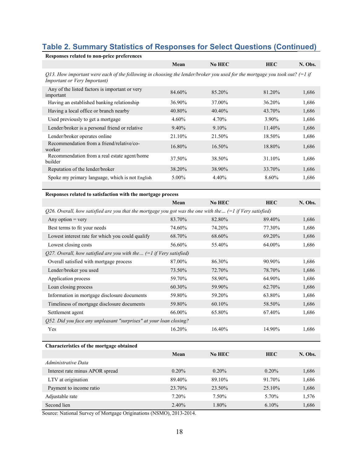# **Table 2. Summary Statistics of Responses for Select Questions (Continued)**

| Responses related to non-price preferences                                                                                                                   |          |           |            |         |
|--------------------------------------------------------------------------------------------------------------------------------------------------------------|----------|-----------|------------|---------|
|                                                                                                                                                              | Mean     | No HEC    | <b>HEC</b> | N. Obs. |
| O13. How important were each of the following in choosing the lender/broker you used for the mortgage you took out? $(=1$ if<br>Important or Very Important) |          |           |            |         |
| Any of the listed factors is important or very<br>important                                                                                                  | 84.60%   | 85.20%    | 81.20%     | 1,686   |
| Having an established banking relationship                                                                                                                   | 36.90%   | 37.00%    | 36.20%     | 1,686   |
| Having a local office or branch nearby                                                                                                                       | 40.80%   | 40.40%    | 43.70%     | 1,686   |
| Used previously to get a mortgage                                                                                                                            | $4.60\%$ | 4.70%     | 3.90%      | 1,686   |
| Lender/broker is a personal friend or relative                                                                                                               | $9.40\%$ | $9.10\%$  | 11.40%     | 1,686   |
| Lender/broker operates online                                                                                                                                | 21.10%   | 21.50%    | 18.50%     | 1,686   |
| Recommendation from a friend/relative/co-<br>worker                                                                                                          | 16.80%   | $16.50\%$ | 18.80%     | 1,686   |
| Recommendation from a real estate agent/home<br>builder                                                                                                      | 37.50%   | 38.50%    | 31.10%     | 1,686   |
| Reputation of the lender/broker                                                                                                                              | 38.20%   | 38.90%    | 33.70%     | 1,686   |
| Spoke my primary language, which is not English                                                                                                              | 5.00%    | 4.40%     | 8.60%      | 1,686   |
|                                                                                                                                                              |          |           |            |         |

| Responses related to satisfaction with the mortgage process                                                 |        |        |            |         |
|-------------------------------------------------------------------------------------------------------------|--------|--------|------------|---------|
|                                                                                                             | Mean   | No HEC | <b>HEC</b> | N. Obs. |
| Q26. Overall, how satisfied are you that the mortgage you got was the one with the $(=1$ if Very satisfied) |        |        |            |         |
| Any option = $very$                                                                                         | 83.70% | 82.80% | 89.40%     | 1,686   |
| Best terms to fit your needs                                                                                | 74.60% | 74.20% | 77.30%     | 1,686   |
| Lowest interest rate for which you could qualify                                                            | 68.70% | 68.60% | 69.20%     | 1,686   |
| Lowest closing costs                                                                                        | 56.60% | 55.40% | 64.00%     | 1,686   |
| Q27. Overall, how satisfied are you with the $(=1$ if Very satisfied)                                       |        |        |            |         |
| Overall satisfied with mortgage process                                                                     | 87.00% | 86.30% | 90.90%     | 1,686   |
| Lender/broker you used                                                                                      | 73.50% | 72.70% | 78.70%     | 1,686   |
| Application process                                                                                         | 59.70% | 58.90% | 64.90%     | 1,686   |
| Loan closing process                                                                                        | 60.30% | 59.90% | 62.70%     | 1,686   |
| Information in mortgage disclosure documents                                                                | 59.80% | 59.20% | 63.80%     | 1,686   |
| Timeliness of mortgage disclosure documents                                                                 | 59.80% | 60.10% | 58.50%     | 1,686   |
| Settlement agent                                                                                            | 66.00% | 65.80% | 67.40%     | 1,686   |
| Q52. Did you face any unpleasant "surprises" at your loan closing?                                          |        |        |            |         |
| Yes                                                                                                         | 16.20% | 16.40% | 14.90%     | 1,686   |
|                                                                                                             |        |        |            |         |
| Characteristics of the mortgage obtained                                                                    |        |        |            |         |

| Characteristics of the mortgage obtained |          |          |            |         |
|------------------------------------------|----------|----------|------------|---------|
|                                          | Mean     | No HEC   | <b>HEC</b> | N. Obs. |
| Administrative Data                      |          |          |            |         |
| Interest rate minus APOR spread          | $0.20\%$ | $0.20\%$ | $0.20\%$   | 1,686   |
| LTV at origination                       | 89.40%   | 89.10%   | 91.70%     | 1,686   |
| Payment to income ratio                  | 23.70%   | 23.50%   | 25.10%     | 1,686   |
| Adjustable rate                          | 7.20%    | 7.50%    | 5.70%      | 1,576   |
| Second lien                              | 2.40%    | 1.80%    | $6.10\%$   | 1,686   |

Source: National Survey of Mortgage Originations (NSMO), 2013-2014.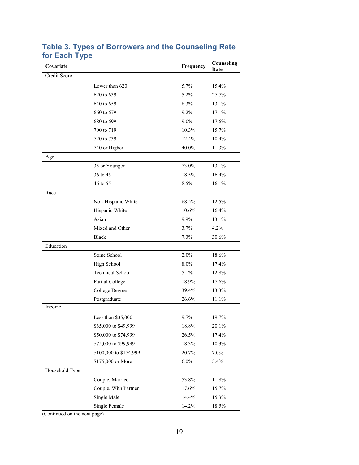| Covariate      |                         | Frequency | Counseling<br>Rate |
|----------------|-------------------------|-----------|--------------------|
| Credit Score   |                         |           |                    |
|                | Lower than 620          | 5.7%      | 15.4%              |
|                | 620 to 639              | 5.2%      | 27.7%              |
|                | 640 to 659              | 8.3%      | 13.1%              |
|                | 660 to 679              | 9.2%      | 17.1%              |
|                | 680 to 699              | $9.0\%$   | 17.6%              |
|                | 700 to 719              | 10.3%     | 15.7%              |
|                | 720 to 739              | 12.4%     | $10.4\%$           |
|                | 740 or Higher           | 40.0%     | 11.3%              |
| Age            |                         |           |                    |
|                | 35 or Younger           | 73.0%     | 13.1%              |
|                | 36 to 45                | 18.5%     | 16.4%              |
|                | 46 to 55                | 8.5%      | 16.1%              |
| Race           |                         |           |                    |
|                | Non-Hispanic White      | 68.5%     | 12.5%              |
|                | Hispanic White          | 10.6%     | 16.4%              |
|                | Asian                   | 9.9%      | 13.1%              |
|                | Mixed and Other         | 3.7%      | 4.2%               |
|                | <b>Black</b>            | 7.3%      | 30.6%              |
| Education      |                         |           |                    |
|                | Some School             | 2.0%      | 18.6%              |
|                | High School             | 8.0%      | 17.4%              |
|                | <b>Technical School</b> | 5.1%      | 12.8%              |
|                | Partial College         | 18.9%     | 17.6%              |
|                | College Degree          | 39.4%     | 13.3%              |
|                | Postgraduate            | 26.6%     | 11.1%              |
| Income         |                         |           |                    |
|                | Less than \$35,000      | 9.7%      | 19.7%              |
|                | \$35,000 to \$49,999    | 18.8%     | 20.1%              |
|                | \$50,000 to \$74,999    | 26.5%     | 17.4%              |
|                | \$75,000 to \$99,999    | 18.3%     | 10.3%              |
|                | \$100,000 to \$174,999  | 20.7%     | 7.0%               |
|                | \$175,000 or More       | 6.0%      | 5.4%               |
| Household Type |                         |           |                    |
|                | Couple, Married         | 53.8%     | $11.8\%$           |
|                | Couple, With Partner    | 17.6%     | 15.7%              |
|                | Single Male             | 14.4%     | 15.3%              |
|                | Single Female           | 14.2%     | 18.5%              |

### **Table 3. Types of Borrowers and the Counseling Rate for Each Type**

(Continued on the next page)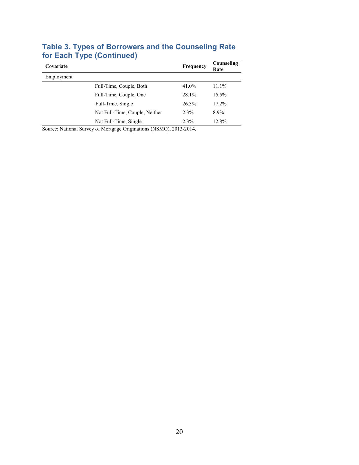| Covariate  | Frequency                      | Counseling<br>Rate |       |
|------------|--------------------------------|--------------------|-------|
| Employment |                                |                    |       |
|            | Full-Time, Couple, Both        | 41.0%              | 11.1% |
|            | Full-Time, Couple, One         | 28.1%              | 15.5% |
|            | Full-Time, Single              | 26.3%              | 17.2% |
|            | Not Full-Time, Couple, Neither | 2.3%               | 8.9%  |
|            | Not Full-Time, Single          | 2.3%               | 12.8% |

### **Table 3. Types of Borrowers and the Counseling Rate for Each Type (Continued)**

Source: National Survey of Mortgage Originations (NSMO), 2013-2014.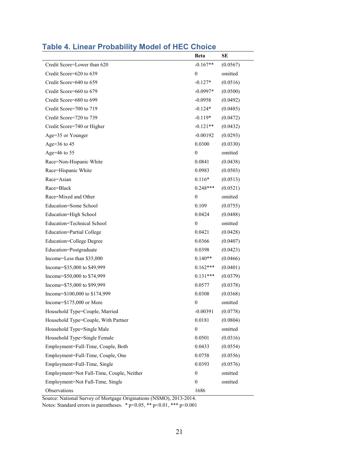|                                           | <b>Beta</b>      | <b>SE</b> |
|-------------------------------------------|------------------|-----------|
| Credit Score=Lower than 620               | $-0.167**$       | (0.0567)  |
| Credit Score=620 to 639                   | $\boldsymbol{0}$ | omitted   |
| Credit Score=640 to 659                   | $-0.127*$        | (0.0516)  |
| Credit Score=660 to 679                   | $-0.0997*$       | (0.0500)  |
| Credit Score=680 to 699                   | $-0.0958$        | (0.0492)  |
| Credit Score=700 to 719                   | $-0.124*$        | (0.0485)  |
| Credit Score=720 to 739                   | $-0.119*$        | (0.0472)  |
| Credit Score=740 or Higher                | $-0.121**$       | (0.0432)  |
| Age=35 or Younger                         | $-0.00192$       | (0.0293)  |
| Age= $36$ to $45$                         | 0.0300           | (0.0330)  |
| Age= $46$ to 55                           | 0                | omitted   |
| Race=Non-Hispanic White                   | 0.0841           | (0.0438)  |
| Race=Hispanic White                       | 0.0983           | (0.0503)  |
| Race=Asian                                | $0.116*$         | (0.0513)  |
| Race=Black                                | $0.248***$       | (0.0521)  |
| Race=Mixed and Other                      | $\overline{0}$   | omitted   |
| Education=Some School                     | 0.109            | (0.0755)  |
| Education=High School                     | 0.0424           | (0.0488)  |
| Education=Technical School                | $\boldsymbol{0}$ | omitted   |
| Education=Partial College                 | 0.0421           | (0.0428)  |
| Education=College Degree                  | 0.0366           | (0.0407)  |
| Education=Postgraduate                    | 0.0398           | (0.0423)  |
| Income=Less than \$35,000                 | $0.140**$        | (0.0466)  |
| Income=\$35,000 to \$49,999               | $0.162***$       | (0.0401)  |
| Income=\$50,000 to \$74,999               | $0.131***$       | (0.0379)  |
| Income=\$75,000 to \$99,999               | 0.0577           | (0.0378)  |
| Income=\$100,000 to \$174,999             | 0.0308           | (0.0368)  |
| Income= $$175,000$ or More                | 0                | omitted   |
| Household Type=Couple, Married            | $-0.00391$       | (0.0778)  |
| Household Type=Couple, With Partner       | 0.0181           | (0.0804)  |
| Household Type=Single Male                | $\overline{0}$   | omitted   |
| Household Type=Single Female              | 0.0501           | (0.0316)  |
| Employment=Full-Time, Couple, Both        | 0.0433           | (0.0554)  |
| Employment=Full-Time, Couple, One         | 0.0758           | (0.0556)  |
| Employment=Full-Time, Single              | 0.0393           | (0.0576)  |
| Employment=Not Full-Time, Couple, Neither | 0                | omitted   |
| Employment=Not Full-Time, Single          | $\boldsymbol{0}$ | omitted   |
| Observations                              | 1686             |           |

## **Table 4. Linear Probability Model of HEC Choice**

Source: National Survey of Mortgage Originations (NSMO), 2013-2014.

Notes: Standard errors in parentheses. \* p<0.05, \*\* p<0.01, \*\*\* p<0.001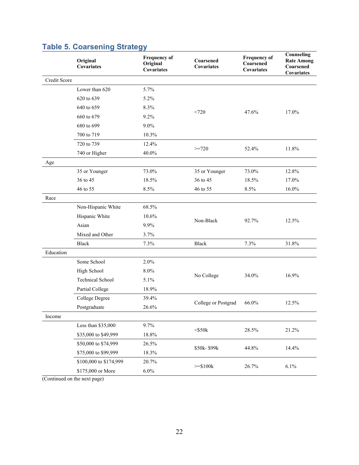|              | Original<br><b>Covariates</b> | <b>Frequency of</b><br>Original<br>Covariates | Coarsened<br><b>Covariates</b> | <b>Frequency of</b><br>Coarsened<br><b>Covariates</b> | Counseling<br><b>Rate Among</b><br>Coarsened<br>Covariates |
|--------------|-------------------------------|-----------------------------------------------|--------------------------------|-------------------------------------------------------|------------------------------------------------------------|
| Credit Score |                               |                                               |                                |                                                       |                                                            |
|              | Lower than 620                | 5.7%                                          |                                |                                                       |                                                            |
|              | 620 to 639                    | 5.2%                                          |                                |                                                       |                                                            |
|              | 640 to 659                    | 8.3%                                          |                                |                                                       |                                                            |
|              | 660 to 679                    | 9.2%                                          | <720                           | 47.6%                                                 | 17.0%                                                      |
|              | 680 to 699                    | 9.0%                                          |                                |                                                       |                                                            |
|              | 700 to 719                    | 10.3%                                         |                                |                                                       |                                                            |
|              | 720 to 739                    | 12.4%                                         |                                |                                                       |                                                            |
|              | 740 or Higher                 | 40.0%                                         | $>=720$                        | 52.4%                                                 | 11.8%                                                      |
| Age          |                               |                                               |                                |                                                       |                                                            |
|              | 35 or Younger                 | 73.0%                                         | 35 or Younger                  | 73.0%                                                 | 12.8%                                                      |
|              | 36 to 45                      | 18.5%                                         | 36 to 45                       | 18.5%                                                 | 17.0%                                                      |
|              | 46 to 55                      | 8.5%                                          | 46 to 55                       | 8.5%                                                  | 16.0%                                                      |
| Race         |                               |                                               |                                |                                                       |                                                            |
|              | Non-Hispanic White            | 68.5%                                         |                                | 92.7%                                                 |                                                            |
|              | Hispanic White                | 10.6%                                         | Non-Black                      |                                                       | 12.5%                                                      |
|              | Asian                         | 9.9%                                          |                                |                                                       |                                                            |
|              | Mixed and Other               | 3.7%                                          |                                |                                                       |                                                            |
|              | <b>Black</b>                  | 7.3%                                          | <b>Black</b>                   | 7.3%                                                  | 31.8%                                                      |
| Education    |                               |                                               |                                |                                                       |                                                            |
|              | Some School                   | 2.0%                                          |                                |                                                       |                                                            |
|              | High School                   | 8.0%                                          |                                | 34.0%                                                 | 16.9%                                                      |
|              | <b>Technical School</b>       | 5.1%                                          | No College                     |                                                       |                                                            |
|              | Partial College               | 18.9%                                         |                                |                                                       |                                                            |
|              | College Degree                | 39.4%                                         |                                | 66.0%                                                 | 12.5%                                                      |
|              | Postgraduate                  | 26.6%                                         | College or Postgrad            |                                                       |                                                            |
| Income       |                               |                                               |                                |                                                       |                                                            |
|              | Less than \$35,000            | 9.7%                                          |                                |                                                       |                                                            |
|              | \$35,000 to \$49,999          | 18.8%                                         | $<$ \$50 $k$                   | 28.5%                                                 | 21.2%                                                      |
|              | \$50,000 to \$74,999          | 26.5%                                         |                                |                                                       |                                                            |
|              | \$75,000 to \$99,999          | 18.3%                                         | \$50k-\$99k                    | 44.8%                                                 | 14.4%                                                      |
|              | \$100,000 to \$174,999        | 20.7%                                         |                                |                                                       |                                                            |
|              | \$175,000 or More             | $6.0\%$                                       | $>= $100k$                     | 26.7%                                                 | 6.1%                                                       |

# **Table 5. Coarsening Strategy**

(Continued on the next page)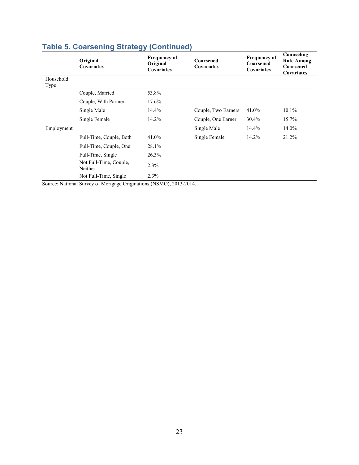|                   | Original<br><b>Covariates</b>     | <b>Frequency of</b><br>Original<br><b>Covariates</b> | Coarsened<br>Covariates | <b>Frequency of</b><br>Coarsened<br><b>Covariates</b> | Counseling<br><b>Rate Among</b><br>Coarsened<br>Covariates |
|-------------------|-----------------------------------|------------------------------------------------------|-------------------------|-------------------------------------------------------|------------------------------------------------------------|
| Household<br>Type |                                   |                                                      |                         |                                                       |                                                            |
|                   | Couple, Married                   | 53.8%                                                |                         |                                                       |                                                            |
|                   | Couple, With Partner              | 17.6%                                                |                         |                                                       |                                                            |
|                   | Single Male                       | 14.4%                                                | Couple, Two Earners     | 41.0%                                                 | $10.1\%$                                                   |
|                   | Single Female                     | 14.2%                                                | Couple, One Earner      | 30.4%                                                 | 15.7%                                                      |
| Employment        |                                   |                                                      | Single Male             | $14.4\%$                                              | 14.0%                                                      |
|                   | Full-Time, Couple, Both           | 41.0%                                                | Single Female           | 14.2%                                                 | 21.2%                                                      |
|                   | Full-Time, Couple, One            | 28.1%                                                |                         |                                                       |                                                            |
|                   | Full-Time, Single                 | 26.3%                                                |                         |                                                       |                                                            |
|                   | Not Full-Time, Couple,<br>Neither | 2.3%                                                 |                         |                                                       |                                                            |
|                   | Not Full-Time, Single             | 2.3%                                                 |                         |                                                       |                                                            |

# **Table 5. Coarsening Strategy (Continued)**

Source: National Survey of Mortgage Originations (NSMO), 2013-2014.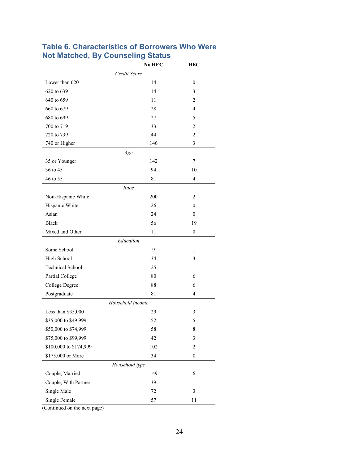|                         | No HEC           | <b>HEC</b>       |
|-------------------------|------------------|------------------|
|                         | Credit Score     |                  |
| Lower than 620          | 14               | $\boldsymbol{0}$ |
| 620 to 639              | 14               | 3                |
| 640 to 659              | 11               | 2                |
| 660 to 679              | 28               | 4                |
| 680 to 699              | 27               | 5                |
| 700 to 719              | 33               | 2                |
| 720 to 739              | 44               | 2                |
| 740 or Higher           | 146              | 3                |
|                         | Age              |                  |
| 35 or Younger           | 142              | 7                |
| 36 to 45                | 94               | 10               |
| 46 to 55                | 81               | $\overline{4}$   |
|                         | Race             |                  |
| Non-Hispanic White      | 200              | 2                |
| Hispanic White          | 26               | $\mathbf{0}$     |
| Asian                   | 24               | $\mathbf{0}$     |
| <b>Black</b>            | 56               | 19               |
| Mixed and Other         | 11               | $\boldsymbol{0}$ |
|                         | Education        |                  |
| Some School             | 9                | 1                |
| High School             | 34               | 3                |
| <b>Technical School</b> | 25               | 1                |
| Partial College         | 80               | 6                |
| College Degree          | 88               | 6                |
| Postgraduate            | 81               | 4                |
|                         | Household income |                  |
| Less than \$35,000      | 29               | $\mathfrak{Z}$   |
| \$35,000 to \$49,999    | 52               | 5                |
| \$50,000 to \$74,999    | 58               | 8                |
| \$75,000 to \$99,999    | 42               | 3                |
| \$100,000 to \$174,999  | 102              | 2                |
| \$175,000 or More       | 34               | $\boldsymbol{0}$ |
|                         | Household type   |                  |
| Couple, Married         | 149              | 6                |
| Couple, With Partner    | 39               | 1                |
| Single Male             | 72               | 3                |
| Single Female           | 57               | 11               |
|                         |                  |                  |

#### **Table 6. Characteristics of Borrowers Who Were Not Matched, By Counseling Status**  $\overline{\phantom{0}}$

(Continued on the next page)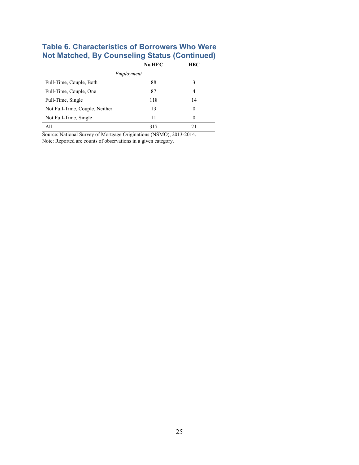## **Table 6. Characteristics of Borrowers Who Were Not Matched, By Counseling Status (Continued)**

|                                | No HEC | <b>HEC</b> |  |  |  |  |  |  |
|--------------------------------|--------|------------|--|--|--|--|--|--|
| Employment                     |        |            |  |  |  |  |  |  |
| Full-Time, Couple, Both        | 88     | 3          |  |  |  |  |  |  |
| Full-Time, Couple, One         | 87     | 4          |  |  |  |  |  |  |
| Full-Time, Single              | 118    | 14         |  |  |  |  |  |  |
| Not Full-Time, Couple, Neither | 13     | $\Omega$   |  |  |  |  |  |  |
| Not Full-Time, Single          | 11     | $\Omega$   |  |  |  |  |  |  |
| All                            | 317    | 21         |  |  |  |  |  |  |

Source: National Survey of Mortgage Originations (NSMO), 2013-2014. Note: Reported are counts of observations in a given category.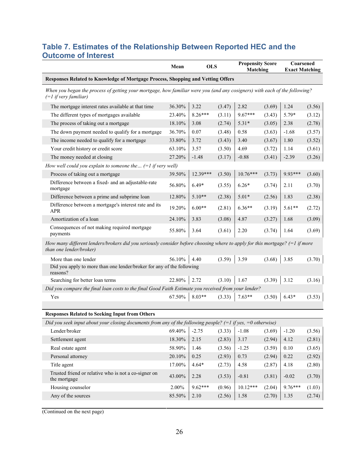## **Table 7. Estimates of the Relationship Between Reported HEC and the Outcome of Interest**

|                                                                                                                                                        | Mean          | <b>OLS</b> |        | <b>Propensity Score</b><br>Matching |        | Coarsened<br><b>Exact Matching</b> |        |  |  |
|--------------------------------------------------------------------------------------------------------------------------------------------------------|---------------|------------|--------|-------------------------------------|--------|------------------------------------|--------|--|--|
| Responses Related to Knowledge of Mortgage Process, Shopping and Vetting Offers                                                                        |               |            |        |                                     |        |                                    |        |  |  |
| When you began the process of getting your mortgage, how familiar were you (and any cosigners) with each of the following?<br>$(=1$ if very familiar)  |               |            |        |                                     |        |                                    |        |  |  |
| The mortgage interest rates available at that time                                                                                                     | 36.30%        | 3.22       | (3.47) | 2.82                                | (3.69) | 1.24                               | (3.56) |  |  |
| The different types of mortgages available                                                                                                             | 23.40%        | $8.26***$  | (3.11) | $9.67***$                           | (3.43) | 5.79*                              | (3.12) |  |  |
| The process of taking out a mortgage                                                                                                                   | 18.10%        | 3.08       | (2.74) | $5.31*$                             | (3.05) | 2.38                               | (2.78) |  |  |
| The down payment needed to qualify for a mortgage                                                                                                      | 36.70%        | 0.07       | (3.48) | 0.58                                | (3.63) | $-1.68$                            | (3.57) |  |  |
| The income needed to qualify for a mortgage                                                                                                            | 33.80%        | 3.72       | (3.43) | 3.40                                | (3.67) | 1.80                               | (3.52) |  |  |
| Your credit history or credit score                                                                                                                    | 63.10%        | 3.57       | (3.50) | 4.69                                | (3.72) | 1.14                               | (3.61) |  |  |
| The money needed at closing                                                                                                                            | 27.20%        | $-1.48$    | (3.17) | $-0.88$                             | (3.41) | $-2.39$                            | (3.26) |  |  |
| How well could you explain to someone the $(=1$ if very well)                                                                                          |               |            |        |                                     |        |                                    |        |  |  |
| Process of taking out a mortgage                                                                                                                       | 39.50%        | 12.39***   | (3.50) | $10.76***$                          | (3.73) | 9.93***                            | (3.60) |  |  |
| Difference between a fixed- and an adjustable-rate<br>mortgage                                                                                         | 56.80%        | $6.49*$    | (3.55) | $6.26*$                             | (3.74) | 2.11                               | (3.70) |  |  |
| Difference between a prime and subprime loan                                                                                                           | 12.80%        | $5.10**$   | (2.38) | $5.01*$                             | (2.56) | 1.83                               | (2.38) |  |  |
| Difference between a mortgage's interest rate and its<br><b>APR</b>                                                                                    | 19.20%        | $6.00**$   | (2.81) | $6.36**$                            | (3.19) | $5.61**$                           | (2.72) |  |  |
| Amortization of a loan                                                                                                                                 | 24.10%        | 3.83       | (3.08) | 4.87                                | (3.27) | 1.68                               | (3.09) |  |  |
| Consequences of not making required mortgage<br>payments                                                                                               | 55.80%        | 3.64       | (3.61) | 2.20                                | (3.74) | 1.64                               | (3.69) |  |  |
| How many different lenders/brokers did you seriously consider before choosing where to apply for this mortgage? (=1 if more<br>than one lender/broker) |               |            |        |                                     |        |                                    |        |  |  |
| More than one lender                                                                                                                                   | 56.10%        | 4.40       | (3.59) | 3.59                                | (3.68) | 3.85                               | (3.70) |  |  |
| Did you apply to more than one lender/broker for any of the following<br>reasons?                                                                      |               |            |        |                                     |        |                                    |        |  |  |
| Searching for better loan terms                                                                                                                        | 22.80%        | 2.72       | (3.10) | 1.67                                | (3.39) | 3.12                               | (3.16) |  |  |
| Did you compare the final loan costs to the final Good Faith Estimate you received from your lender?                                                   |               |            |        |                                     |        |                                    |        |  |  |
| Yes                                                                                                                                                    | 67.50% 8.03** |            | (3.33) | $7.63**$                            | (3.50) | $6.43*$                            | (3.53) |  |  |
| <b>Responses Related to Seeking Input from Others</b>                                                                                                  |               |            |        |                                     |        |                                    |        |  |  |
| Did you seek input about your closing documents from any of the following people? (=1 if yes, =0 otherwise)                                            |               |            |        |                                     |        |                                    |        |  |  |
| Lender/broker                                                                                                                                          | 69.40%        | $-2.75$    | (3.33) | $-1.08$                             | (3.69) | $-1.20$                            | (3.56) |  |  |
| Settlement agent                                                                                                                                       | 18.30%        | 2.15       | (2.83) | 3.17                                | (2.94) | 4.12                               | (2.81) |  |  |
| Real estate agent                                                                                                                                      | 58.90%        | 1.46       | (3.56) | $-1.25$                             | (3.59) | $0.10\,$                           | (3.65) |  |  |
| Personal attorney                                                                                                                                      | 20.10%        | 0.25       | (2.93) | 0.73                                | (2.94) | 0.22                               | (2.92) |  |  |
| Title agent                                                                                                                                            | 17.00%        | $4.64*$    | (2.73) | 4.58                                | (2.87) | 4.18                               | (2.80) |  |  |
| Trusted friend or relative who is not a co-signer on<br>the mortgage                                                                                   | 43.00%        | 2.28       | (3.53) | $-0.81$                             | (3.81) | $-0.02$                            | (3.70) |  |  |
| Housing counselor                                                                                                                                      | 2.00%         | $9.62***$  | (0.96) | $10.12***$                          | (2.04) | 9.76***                            | (1.03) |  |  |

(Continued on the next page)

Any of the sources 85.50% 2.10 (2.56) 1.58 (2.70) 1.35 (2.74)